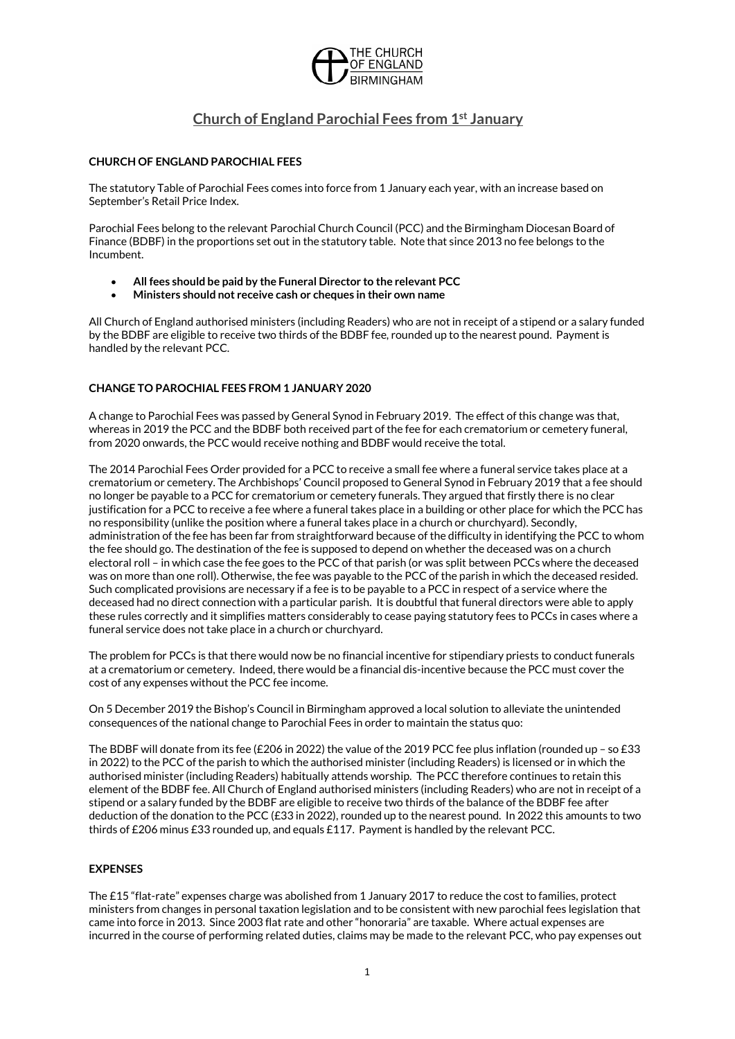

# Church of England Parochial Fees from 1st January

## CHURCH OF ENGLAND PAROCHIAL FEES

The statutory Table of Parochial Fees comes into force from 1 January each year, with an increase based on September's Retail Price Index.

Parochial Fees belong to the relevant Parochial Church Council (PCC) and the Birmingham Diocesan Board of Finance (BDBF) in the proportions set out in the statutory table. Note that since 2013 no fee belongs to the Incumbent.

- All fees should be paid by the Funeral Director to the relevant PCC
- Ministers should not receive cash or cheques in their own name

All Church of England authorised ministers (including Readers) who are not in receipt of a stipend or a salary funded by the BDBF are eligible to receive two thirds of the BDBF fee, rounded up to the nearest pound. Payment is handled by the relevant PCC.

## CHANGE TO PAROCHIAL FEES FROM 1 JANUARY 2020

A change to Parochial Fees was passed by General Synod in February 2019. The effect of this change was that, whereas in 2019 the PCC and the BDBF both received part of the fee for each crematorium or cemetery funeral, from 2020 onwards, the PCC would receive nothing and BDBF would receive the total.

The 2014 Parochial Fees Order provided for a PCC to receive a small fee where a funeral service takes place at a crematorium or cemetery. The Archbishops' Council proposed to General Synod in February 2019 that a fee should no longer be payable to a PCC for crematorium or cemetery funerals. They argued that firstly there is no clear justification for a PCC to receive a fee where a funeral takes place in a building or other place for which the PCC has no responsibility (unlike the position where a funeral takes place in a church or churchyard). Secondly, administration of the fee has been far from straightforward because of the difficulty in identifying the PCC to whom the fee should go. The destination of the fee is supposed to depend on whether the deceased was on a church electoral roll – in which case the fee goes to the PCC of that parish (or was split between PCCs where the deceased was on more than one roll). Otherwise, the fee was payable to the PCC of the parish in which the deceased resided. Such complicated provisions are necessary if a fee is to be payable to a PCC in respect of a service where the deceased had no direct connection with a particular parish. It is doubtful that funeral directors were able to apply these rules correctly and it simplifies matters considerably to cease paying statutory fees to PCCs in cases where a funeral service does not take place in a church or churchyard.

The problem for PCCs is that there would now be no financial incentive for stipendiary priests to conduct funerals at a crematorium or cemetery. Indeed, there would be a financial dis-incentive because the PCC must cover the cost of any expenses without the PCC fee income.

On 5 December 2019 the Bishop's Council in Birmingham approved a local solution to alleviate the unintended consequences of the national change to Parochial Fees in order to maintain the status quo:

The BDBF will donate from its fee (£206 in 2022) the value of the 2019 PCC fee plus inflation (rounded up – so £33 in 2022) to the PCC of the parish to which the authorised minister (including Readers) is licensed or in which the authorised minister (including Readers) habitually attends worship. The PCC therefore continues to retain this element of the BDBF fee. All Church of England authorised ministers (including Readers) who are not in receipt of a stipend or a salary funded by the BDBF are eligible to receive two thirds of the balance of the BDBF fee after deduction of the donation to the PCC (£33 in 2022), rounded up to the nearest pound. In 2022 this amounts to two thirds of £206 minus £33 rounded up, and equals £117. Payment is handled by the relevant PCC.

## EXPENSES

The £15 "flat-rate" expenses charge was abolished from 1 January 2017 to reduce the cost to families, protect ministers from changes in personal taxation legislation and to be consistent with new parochial fees legislation that came into force in 2013. Since 2003 flat rate and other "honoraria" are taxable. Where actual expenses are incurred in the course of performing related duties, claims may be made to the relevant PCC, who pay expenses out